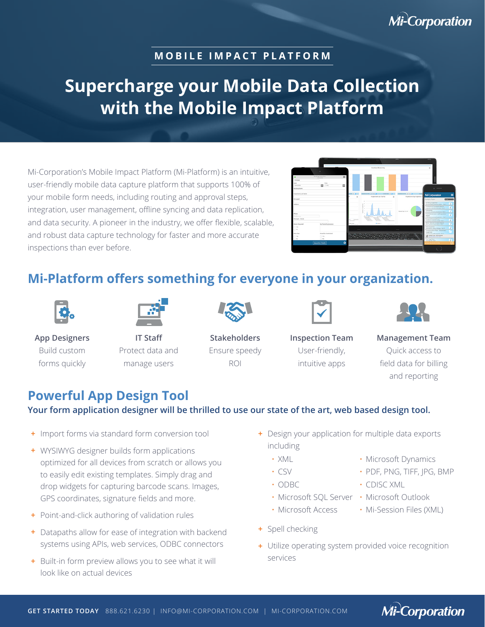# **Mi-Corporation**

#### **MOBILE IMPACT PLATFORM**

# **Supercharge your Mobile Data Collection with the Mobile Impact Platform**

Mi-Corporation's Mobile Impact Platform (Mi-Platform) is an intuitive, user-friendly mobile data capture platform that supports 100% of your mobile form needs, including routing and approval steps, integration, user management, offline syncing and data replication, and data security. A pioneer in the industry, we offer flexible, scalable, and robust data capture technology for faster and more accurate inspections than ever before.



## **Mi-Platform offers something for everyone in your organization.**



Build custom forms quickly



**IT Staff** Protect data and manage users



**Stakeholders** Ensure speedy ROI



**Inspection Team** User-friendly, intuitive apps



**Management Team** Quick access to field data for billing and reporting

### **Powerful App Design Tool**

#### **Your form application designer will be thrilled to use our state of the art, web based design tool.**

- $+$  Import forms via standard form conversion tool
- WYSIWYG designer builds form applications **+**  optimized for all devices from scratch or allows you to easily edit existing templates. Simply drag and drop widgets for capturing barcode scans. Images, GPS coordinates, signature fields and more.
- Point-and-click authoring of validation rules **+**
- Datapaths allow for ease of integration with backend **+**  systems using APIs, web services, ODBC connectors
- Built-in form preview allows you to see what it will **+**  look like on actual devices
- Design your application for multiple data exports **+**  including
	- XML
	- CSV
	- ODBC
	- Microsoft SQL Server Microsoft Outlook
	- Microsoft Access
- Spell checking **+**
- Utilize operating system provided voice recognition **+**  services
- Microsoft Dynamics • PDF, PNG, TIFF, JPG, BMP
- CDISC XML
- 
- Mi-Session Files (XML)

**Mi-Corporation**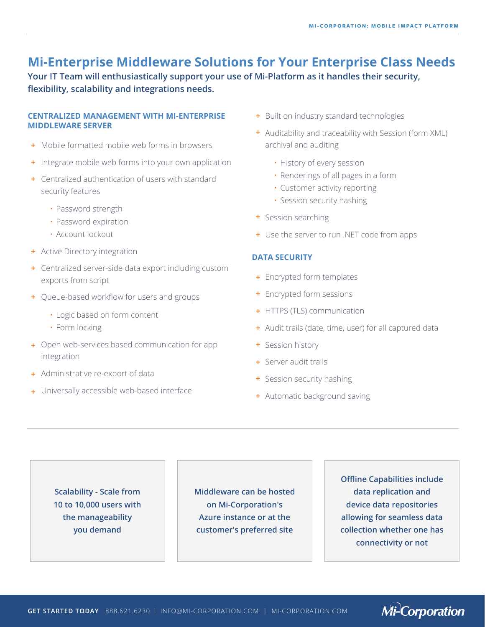### **Mi-Enterprise Middleware Solutions for Your Enterprise Class Needs**

**Your IT Team will enthusiastically support your use of Mi-Platform as it handles their security, flexibility, scalability and integrations needs.**

#### **CENTRALIZED MANAGEMENT WITH MI-ENTERPRISE MIDDLEWARE SERVER**

- Mobile formatted mobile web forms in browsers **+**
- **+** Integrate mobile web forms into your own application
- Centralized authentication of users with standard **+**  security features
	- Password strength
	- Password expiration
	- Account lockout
- Active Directory integration **+**
- Centralized server-side data export including custom **+**  exports from script
- Queue-based workflow for users and groups **+** 
	- Logic based on form content
	- Form locking
- Open web-services based communication for app **+**  integration
- Administrative re-export of data **+**
- Universally accessible web-based interface **+**
- Built on industry standard technologies **+**
- Auditability and traceability with Session (form XML) **+**  archival and auditing
	- History of every session
	- Renderings of all pages in a form
	- Customer activity reporting
	- Session security hashing
- Session searching **+**
- Use the server to run .NET code from apps **+**

#### **DATA SECURITY**

- Encrypted form templates **+**
- Encrypted form sessions **+**
- HTTPS (TLS) communication **+**
- Audit trails (date, time, user) for all captured data **+**
- Session history **+**
- Server audit trails **+**
- Session security hashing **+**
- Automatic background saving **+**

**Scalability - Scale from 10 to 10,000 users with the manageability you demand**

**Middleware can be hosted on Mi-Corporation's Azure instance or at the customer's preferred site**

**Offline Capabilities include data replication and device data repositories allowing for seamless data collection whether one has connectivity or not**

**Mi-Corporation**